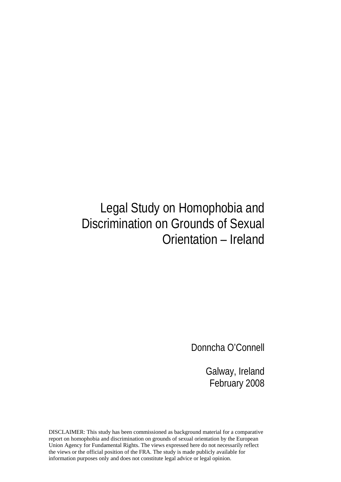## Legal Study on Homophobia and Discrimination on Grounds of Sexual Orientation – Ireland

Donncha O'Connell

Galway, Ireland February 2008

DISCLAIMER: This study has been commissioned as background material for a comparative report on homophobia and discrimination on grounds of sexual orientation by the European Union Agency for Fundamental Rights. The views expressed here do not necessarily reflect the views or the official position of the FRA. The study is made publicly available for information purposes only and does not constitute legal advice or legal opinion.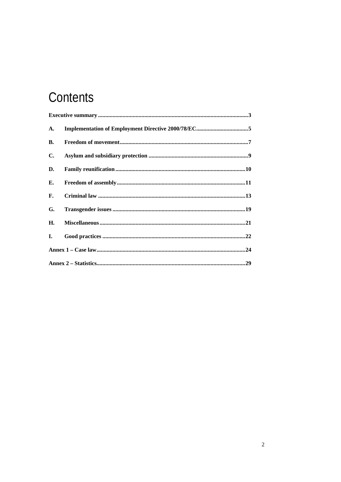# Contents

| A.             |  |
|----------------|--|
| <b>B.</b>      |  |
| $\mathbf{C}$ . |  |
| D.             |  |
| Е.             |  |
| F.             |  |
| G.             |  |
| Н.             |  |
| Ι.             |  |
|                |  |
|                |  |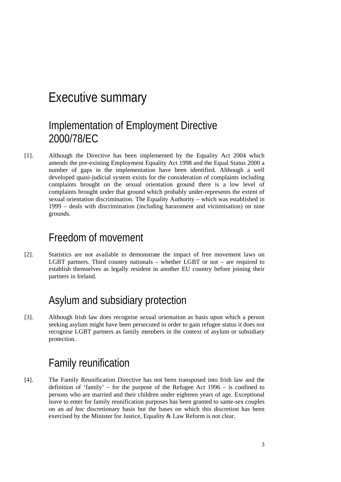#### Executive summary

#### Implementation of Employment Directive 2000/78/EC

[1]. Although the Directive has been implemented by the Equality Act 2004 which amends the pre-existing Employment Equality Act 1998 and the Equal Status 2000 a number of gaps in the implementation have been identified. Although a well developed quasi-judicial system exists for the consideration of complaints including complaints brought on the sexual orientation ground there is a low level of complaints brought under that ground which probably under-represents the extent of sexual orientation discrimination. The Equality Authority – which was established in 1999 – deals with discrimination (including harassment and victimisation) on nine grounds.

#### Freedom of movement

[2]. Statistics are not available to demonstrate the impact of free movement laws on LGBT partners. Third country nationals – whether LGBT or not – are required to establish themselves as legally resident in another EU country before joining their partners in Ireland.

#### Asylum and subsidiary protection

[3]. Although Irish law does recognise sexual orientation as basis upon which a person seeking asylum might have been persecuted in order to gain refugee status it does not recognise LGBT partners as family members in the context of asylum or subsidiary protection.

#### Family reunification

[4]. The Family Reunification Directive has not been transposed into Irish law and the definition of 'family' – for the purpose of the Refugee Act  $1996 -$  is confined to persons who are married and their children under eighteen years of age. Exceptional leave to enter for family reunification purposes has been granted to same-sex couples on an *ad hoc* discretionary basis but the bases on which this discretion has been exercised by the Minister for Justice, Equality & Law Reform is not clear.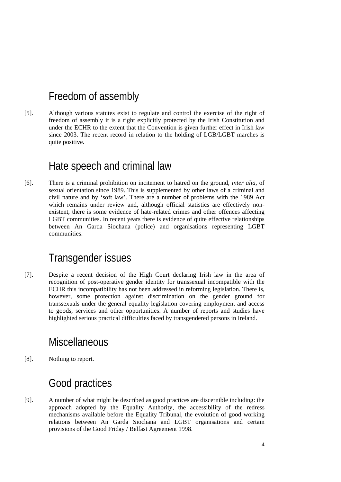#### Freedom of assembly

[5]. Although various statutes exist to regulate and control the exercise of the right of freedom of assembly it is a right explicitly protected by the Irish Constitution and under the ECHR to the extent that the Convention is given further effect in Irish law since 2003. The recent record in relation to the holding of LGB/LGBT marches is quite positive.

#### Hate speech and criminal law

[6]. There is a criminal prohibition on incitement to hatred on the ground, *inter alia*, of sexual orientation since 1989. This is supplemented by other laws of a criminal and civil nature and by 'soft law'. There are a number of problems with the 1989 Act which remains under review and, although official statistics are effectively nonexistent, there is some evidence of hate-related crimes and other offences affecting LGBT communities. In recent years there is evidence of quite effective relationships between An Garda Siochana (police) and organisations representing LGBT communities.

#### Transgender issues

[7]. Despite a recent decision of the High Court declaring Irish law in the area of recognition of post-operative gender identity for transsexual incompatible with the ECHR this incompatibility has not been addressed in reforming legislation. There is, however, some protection against discrimination on the gender ground for transsexuals under the general equality legislation covering employment and access to goods, services and other opportunities. A number of reports and studies have highlighted serious practical difficulties faced by transgendered persons in Ireland.

#### Miscellaneous

[8]. Nothing to report.

#### Good practices

[9]. A number of what might be described as good practices are discernible including: the approach adopted by the Equality Authority, the accessibility of the redress mechanisms available before the Equality Tribunal, the evolution of good working relations between An Garda Siochana and LGBT organisations and certain provisions of the Good Friday / Belfast Agreement 1998.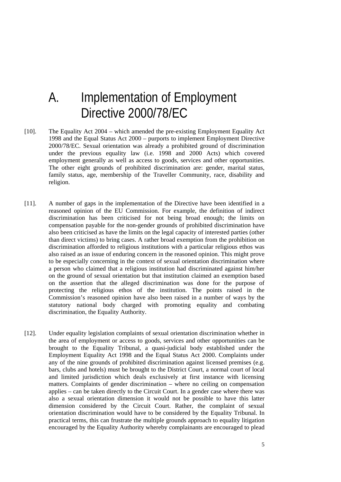## A. Implementation of Employment Directive 2000/78/EC

- [10]. The Equality Act 2004 which amended the pre-existing Employment Equality Act 1998 and the Equal Status Act 2000 – purports to implement Employment Directive 2000/78/EC. Sexual orientation was already a prohibited ground of discrimination under the previous equality law (i.e. 1998 and 2000 Acts) which covered employment generally as well as access to goods, services and other opportunities. The other eight grounds of prohibited discrimination are: gender, marital status, family status, age, membership of the Traveller Community, race, disability and religion.
- [11]. A number of gaps in the implementation of the Directive have been identified in a reasoned opinion of the EU Commission. For example, the definition of indirect discrimination has been criticised for not being broad enough; the limits on compensation payable for the non-gender grounds of prohibited discrimination have also been criticised as have the limits on the legal capacity of interested parties (other than direct victims) to bring cases. A rather broad exemption from the prohibition on discrimination afforded to religious institutions with a particular religious ethos was also raised as an issue of enduring concern in the reasoned opinion. This might prove to be especially concerning in the context of sexual orientation discrimination where a person who claimed that a religious institution had discriminated against him/her on the ground of sexual orientation but that institution claimed an exemption based on the assertion that the alleged discrimination was done for the purpose of protecting the religious ethos of the institution. The points raised in the Commission's reasoned opinion have also been raised in a number of ways by the statutory national body charged with promoting equality and combating discrimination, the Equality Authority.
- [12]. Under equality legislation complaints of sexual orientation discrimination whether in the area of employment or access to goods, services and other opportunities can be brought to the Equality Tribunal, a quasi-judicial body established under the Employment Equality Act 1998 and the Equal Status Act 2000. Complaints under any of the nine grounds of prohibited discrimination against licensed premises (e.g. bars, clubs and hotels) must be brought to the District Court, a normal court of local and limited jurisdiction which deals exclusively at first instance with licensing matters. Complaints of gender discrimination – where no ceiling on compensation applies – can be taken directly to the Circuit Court. In a gender case where there was also a sexual orientation dimension it would not be possible to have this latter dimension considered by the Circuit Court. Rather, the complaint of sexual orientation discrimination would have to be considered by the Equality Tribunal. In practical terms, this can frustrate the multiple grounds approach to equality litigation encouraged by the Equality Authority whereby complainants are encouraged to plead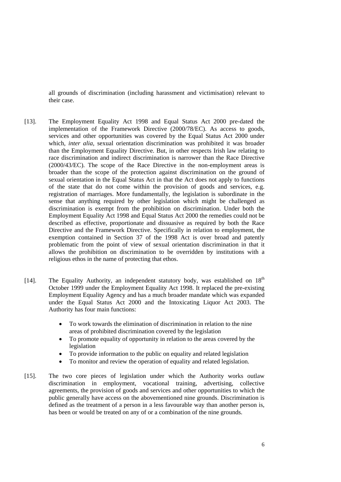all grounds of discrimination (including harassment and victimisation) relevant to their case.

- [13]. The Employment Equality Act 1998 and Equal Status Act 2000 pre-dated the implementation of the Framework Directive (2000/78/EC). As access to goods, services and other opportunities was covered by the Equal Status Act 2000 under which, *inter alia*, sexual orientation discrimination was prohibited it was broader than the Employment Equality Directive. But, in other respects Irish law relating to race discrimination and indirect discrimination is narrower than the Race Directive (2000/43/EC). The scope of the Race Directive in the non-employment areas is broader than the scope of the protection against discrimination on the ground of sexual orientation in the Equal Status Act in that the Act does not apply to functions of the state that do not come within the provision of goods and services, e.g. registration of marriages. More fundamentally, the legislation is subordinate in the sense that anything required by other legislation which might be challenged as discrimination is exempt from the prohibition on discrimination. Under both the Employment Equality Act 1998 and Equal Status Act 2000 the remedies could not be described as effective, proportionate and dissuasive as required by both the Race Directive and the Framework Directive. Specifically in relation to employment, the exemption contained in Section 37 of the 1998 Act is over broad and patently problematic from the point of view of sexual orientation discrimination in that it allows the prohibition on discrimination to be overridden by institutions with a religious ethos in the name of protecting that ethos.
- [14]. The Equality Authority, an independent statutory body, was established on  $18<sup>th</sup>$ October 1999 under the Employment Equality Act 1998. It replaced the pre-existing Employment Equality Agency and has a much broader mandate which was expanded under the Equal Status Act 2000 and the Intoxicating Liquor Act 2003. The Authority has four main functions:
	- To work towards the elimination of discrimination in relation to the nine areas of prohibited discrimination covered by the legislation
	- To promote equality of opportunity in relation to the areas covered by the legislation
	- To provide information to the public on equality and related legislation
	- To monitor and review the operation of equality and related legislation.
- [15]. The two core pieces of legislation under which the Authority works outlaw discrimination in employment, vocational training, advertising, collective agreements, the provision of goods and services and other opportunities to which the public generally have access on the abovementioned nine grounds. Discrimination is defined as the treatment of a person in a less favourable way than another person is, has been or would be treated on any of or a combination of the nine grounds.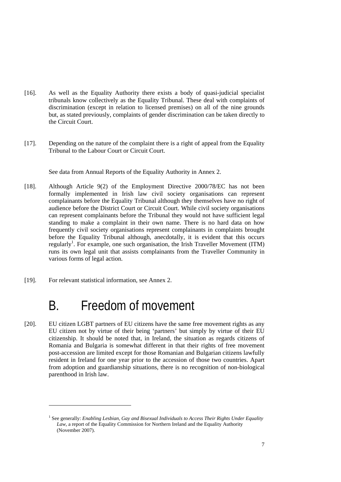- [16]. As well as the Equality Authority there exists a body of quasi-judicial specialist tribunals know collectively as the Equality Tribunal. These deal with complaints of discrimination (except in relation to licensed premises) on all of the nine grounds but, as stated previously, complaints of gender discrimination can be taken directly to the Circuit Court.
- [17]. Depending on the nature of the complaint there is a right of appeal from the Equality Tribunal to the Labour Court or Circuit Court.

See data from Annual Reports of the Equality Authority in Annex 2.

- [18]. Although Article 9(2) of the Employment Directive 2000/78/EC has not been formally implemented in Irish law civil society organisations can represent complainants before the Equality Tribunal although they themselves have no right of audience before the District Court or Circuit Court. While civil society organisations can represent complainants before the Tribunal they would not have sufficient legal standing to make a complaint in their own name. There is no hard data on how frequently civil society organisations represent complainants in complaints brought before the Equality Tribunal although, anecdotally, it is evident that this occurs regularly<sup>1</sup>. For example, one such organisation, the Irish Traveller Movement (ITM) runs its own legal unit that assists complainants from the Traveller Community in various forms of legal action.
- [19]. For relevant statistical information, see Annex 2.

1

## B. Freedom of movement

[20]. EU citizen LGBT partners of EU citizens have the same free movement rights as any EU citizen not by virtue of their being 'partners' but simply by virtue of their EU citizenship. It should be noted that, in Ireland, the situation as regards citizens of Romania and Bulgaria is somewhat different in that their rights of free movement post-accession are limited except for those Romanian and Bulgarian citizens lawfully resident in Ireland for one year prior to the accession of those two countries. Apart from adoption and guardianship situations, there is no recognition of non-biological parenthood in Irish law.

<sup>&</sup>lt;sup>1</sup> See generally: *Enabling Lesbian, Gay and Bisexual Individuals to Access Their Rights Under Equality Law*, a report of the Equality Commission for Northern Ireland and the Equality Authority (November 2007).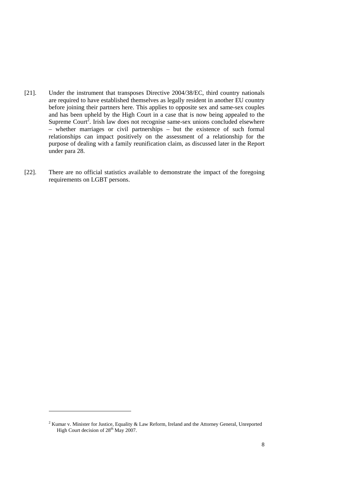- [21]. Under the instrument that transposes Directive 2004/38/EC, third country nationals are required to have established themselves as legally resident in another EU country before joining their partners here. This applies to opposite sex and same-sex couples and has been upheld by the High Court in a case that is now being appealed to the Supreme Court<sup>2</sup>. Irish law does not recognise same-sex unions concluded elsewhere – whether marriages or civil partnerships – but the existence of such formal relationships can impact positively on the assessment of a relationship for the purpose of dealing with a family reunification claim, as discussed later in the Report under para 28.
- [22]. There are no official statistics available to demonstrate the impact of the foregoing requirements on LGBT persons.

-

 $2$  Kumar v. Minister for Justice, Equality & Law Reform, Ireland and the Attorney General, Unreported High Court decision of  $28<sup>th</sup>$  May 2007.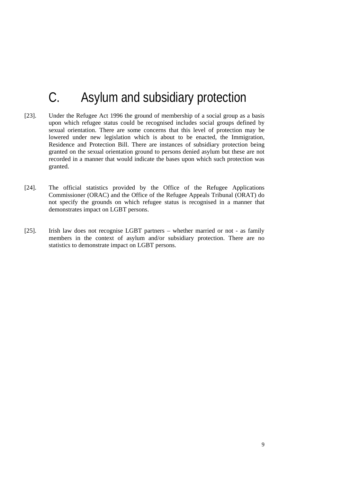## C. Asylum and subsidiary protection

- [23]. Under the Refugee Act 1996 the ground of membership of a social group as a basis upon which refugee status could be recognised includes social groups defined by sexual orientation. There are some concerns that this level of protection may be lowered under new legislation which is about to be enacted, the Immigration, Residence and Protection Bill. There are instances of subsidiary protection being granted on the sexual orientation ground to persons denied asylum but these are not recorded in a manner that would indicate the bases upon which such protection was granted.
- [24]. The official statistics provided by the Office of the Refugee Applications Commissioner (ORAC) and the Office of the Refugee Appeals Tribunal (ORAT) do not specify the grounds on which refugee status is recognised in a manner that demonstrates impact on LGBT persons.
- [25]. Irish law does not recognise LGBT partners whether married or not as family members in the context of asylum and/or subsidiary protection. There are no statistics to demonstrate impact on LGBT persons.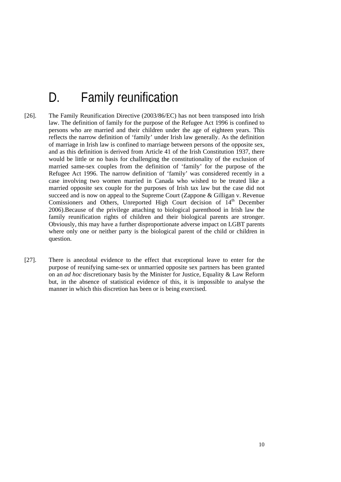## D. Family reunification

- [26]. The Family Reunification Directive (2003/86/EC) has not been transposed into Irish law. The definition of family for the purpose of the Refugee Act 1996 is confined to persons who are married and their children under the age of eighteen years. This reflects the narrow definition of 'family' under Irish law generally. As the definition of marriage in Irish law is confined to marriage between persons of the opposite sex, and as this definition is derived from Article 41 of the Irish Constitution 1937, there would be little or no basis for challenging the constitutionality of the exclusion of married same-sex couples from the definition of 'family' for the purpose of the Refugee Act 1996. The narrow definition of 'family' was considered recently in a case involving two women married in Canada who wished to be treated like a married opposite sex couple for the purposes of Irish tax law but the case did not succeed and is now on appeal to the Supreme Court (Zappone & Gilligan v. Revenue Comissioners and Others, Unreported High Court decision of  $14<sup>th</sup>$  December 2006).Because of the privilege attaching to biological parenthood in Irish law the family reunification rights of children and their biological parents are stronger. Obviously, this may have a further disproportionate adverse impact on LGBT parents where only one or neither party is the biological parent of the child or children in question.
- [27]. There is anecdotal evidence to the effect that exceptional leave to enter for the purpose of reunifying same-sex or unmarried opposite sex partners has been granted on an *ad hoc* discretionary basis by the Minister for Justice, Equality & Law Reform but, in the absence of statistical evidence of this, it is impossible to analyse the manner in which this discretion has been or is being exercised.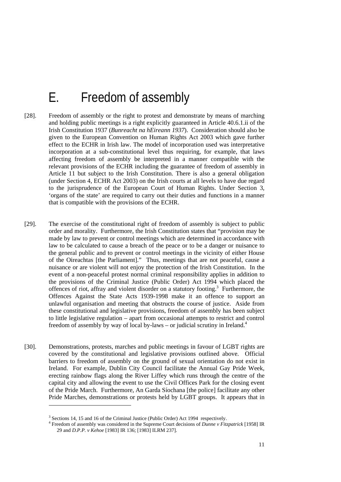## E. Freedom of assembly

- [28]. Freedom of assembly or the right to protest and demonstrate by means of marching and holding public meetings is a right explicitly guaranteed in Article 40.6.1.ii of the Irish Constitution 1937 (*Bunreacht na hEireann 1937*). Consideration should also be given to the European Convention on Human Rights Act 2003 which gave further effect to the ECHR in Irish law. The model of incorporation used was interpretative incorporation at a sub-constitutional level thus requiring, for example, that laws affecting freedom of assembly be interpreted in a manner compatible with the relevant provisions of the ECHR including the guarantee of freedom of assembly in Article 11 but subject to the Irish Constitution. There is also a general obligation (under Section 4, ECHR Act 2003) on the Irish courts at all levels to have due regard to the jurisprudence of the European Court of Human Rights. Under Section 3, 'organs of the state' are required to carry out their duties and functions in a manner that is compatible with the provisions of the ECHR.
- [29]. The exercise of the constitutional right of freedom of assembly is subject to public order and morality. Furthermore, the Irish Constitution states that "provision may be made by law to prevent or control meetings which are determined in accordance with law to be calculated to cause a breach of the peace or to be a danger or nuisance to the general public and to prevent or control meetings in the vicinity of either House of the Oireachtas [the Parliament]." Thus, meetings that are not peaceful, cause a nuisance or are violent will not enjoy the protection of the Irish Constitution. In the event of a non-peaceful protest normal criminal responsibility applies in addition to the provisions of the Criminal Justice (Public Order) Act 1994 which placed the offences of riot, affray and violent disorder on a statutory footing.<sup>3</sup> Furthermore, the Offences Against the State Acts 1939-1998 make it an offence to support an unlawful organisation and meeting that obstructs the course of justice. Aside from these constitutional and legislative provisions, freedom of assembly has been subject to little legislative regulation – apart from occasional attempts to restrict and control freedom of assembly by way of local by-laws – or judicial scrutiny in Ireland.<sup>4</sup>
- [30]. Demonstrations, protests, marches and public meetings in favour of LGBT rights are covered by the constitutional and legislative provisions outlined above. Official barriers to freedom of assembly on the ground of sexual orientation do not exist in Ireland. For example, Dublin City Council facilitate the Annual Gay Pride Week, erecting rainbow flags along the River Liffey which runs through the centre of the capital city and allowing the event to use the Civil Offices Park for the closing event of the Pride March. Furthermore, An Garda Síochana [the police] facilitate any other Pride Marches, demonstrations or protests held by LGBT groups. It appears that in

<sup>&</sup>lt;sup>3</sup> Sections 14, 15 and 16 of the Criminal Justice (Public Order) Act 1994 respectively.

Freedom of assembly was considered in the Supreme Court decisions of *Dunne v Fitzpatrick* [1958] IR 29 and *D.P.P. v Kehoe* [1983] IR 136; [1983] ILRM 237].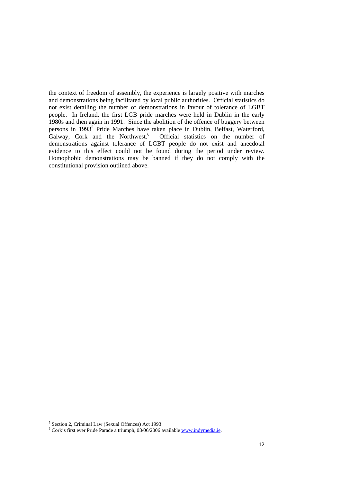the context of freedom of assembly, the experience is largely positive with marches and demonstrations being facilitated by local public authorities. Official statistics do not exist detailing the number of demonstrations in favour of tolerance of LGBT people. In Ireland, the first LGB pride marches were held in Dublin in the early 1980s and then again in 1991. Since the abolition of the offence of buggery between persons in 1993<sup>5</sup> Pride Marches have taken place in Dublin, Belfast, Waterford, Galway, Cork and the Northwest.<sup>6</sup> Official statistics on the number of demonstrations against tolerance of LGBT people do not exist and anecdotal evidence to this effect could not be found during the period under review. Homophobic demonstrations may be banned if they do not comply with the constitutional provision outlined above.

-

<sup>&</sup>lt;sup>5</sup> Section 2, Criminal Law (Sexual Offences) Act 1993

<sup>&</sup>lt;sup>6</sup> Cork's first ever Pride Parade a triumph, 08/06/2006 available www.indymedia.ie.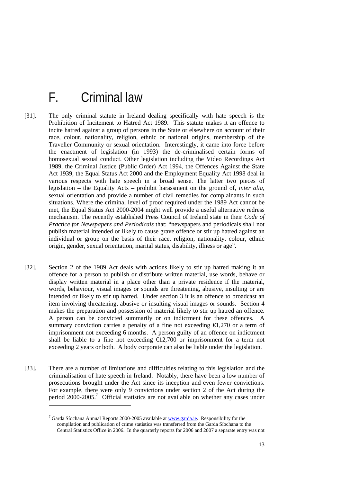## F. Criminal law

- [31]. The only criminal statute in Ireland dealing specifically with hate speech is the Prohibition of Incitement to Hatred Act 1989. This statute makes it an offence to incite hatred against a group of persons in the State or elsewhere on account of their race, colour, nationality, religion, ethnic or national origins, membership of the Traveller Community or sexual orientation. Interestingly, it came into force before the enactment of legislation (in 1993) the de-criminalised certain forms of homosexual sexual conduct. Other legislation including the Video Recordings Act 1989, the Criminal Justice (Public Order) Act 1994, the Offences Against the State Act 1939, the Equal Status Act 2000 and the Employment Equality Act 1998 deal in various respects with hate speech in a broad sense. The latter two pieces of legislation – the Equality Acts – prohibit harassment on the ground of, *inter alia*, sexual orientation and provide a number of civil remedies for complainants in such situations. Where the criminal level of proof required under the 1989 Act cannot be met, the Equal Status Act 2000-2004 might well provide a useful alternative redress mechanism. The recently established Press Council of Ireland state in their *Code of Practice for Newspapers and Periodicals* that: "newspapers and periodicals shall not publish material intended or likely to cause grave offence or stir up hatred against an individual or group on the basis of their race, religion, nationality, colour, ethnic origin, gender, sexual orientation, marital status, disability, illness or age".
- [32]. Section 2 of the 1989 Act deals with actions likely to stir up hatred making it an offence for a person to publish or distribute written material, use words, behave or display written material in a place other than a private residence if the material, words, behaviour, visual images or sounds are threatening, abusive, insulting or are intended or likely to stir up hatred. Under section 3 it is an offence to broadcast an item involving threatening, abusive or insulting visual images or sounds. Section 4 makes the preparation and possession of material likely to stir up hatred an offence. A person can be convicted summarily or on indictment for these offences. A summary conviction carries a penalty of a fine not exceeding  $\bigoplus$ , 270 or a term of imprisonment not exceeding 6 months. A person guilty of an offence on indictment shall be liable to a fine not exceeding  $\epsilon$ 12,700 or imprisonment for a term not exceeding 2 years or both. A body corporate can also be liable under the legislation.
- [33]. There are a number of limitations and difficulties relating to this legislation and the criminalisation of hate speech in Ireland. Notably, there have been a low number of prosecutions brought under the Act since its inception and even fewer convictions. For example, there were only 9 convictions under section 2 of the Act during the period  $2000-2005$ .<sup>7</sup> Official statistics are not available on whether any cases under

<sup>&</sup>lt;sup>7</sup> Garda Síochana Annual Reports 2000-2005 available at **www.garda.ie.** Responsibility for the compilation and publication of crime statistics was transferred from the Garda Síochana to the Central Statistics Office in 2006. In the quarterly reports for 2006 and 2007 a separate entry was not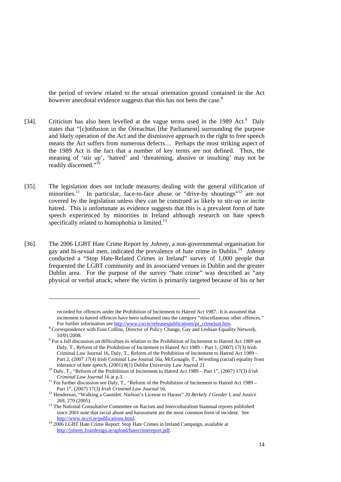the period of review related to the sexual orientation ground contained in the Act however anecdotal evidence suggests that this has not been the case.<sup>8</sup>

- [34]. Criticism has also been levelled at the vague terms used in the 1989 Act.<sup>9</sup> Daly states that "[c]onfusion in the Oireachtas [the Parliament] surrounding the purpose and likely operation of the Act and the dismissive approach to the right to free speech means the Act suffers from numerous defects… Perhaps the most striking aspect of the 1989 Act is the fact that a number of key terms are not defined. Thus, the meaning of 'stir up', 'hatred' and 'threatening, abusive or insulting' may not be readily discerned."<sup>10</sup>
- [35]. The legislation does not include measures dealing with the general vilification of minorities.<sup>11</sup> In particular, face-to-face abuse or "drive-by shoutings"<sup>12</sup> are not covered by the legislation unless they can be construed as likely to stir-up or incite hatred. This is unfortunate as evidence suggests that this is a prevalent form of hate speech experienced by minorities in Ireland although research on hate speech specifically related to homophobia is limited. $^{13}$
- [36]. The 2006 LGBT Hate Crime Report by *Johnny*, a non-governmental organisation for gay and bi-sexual men, indicated the prevalence of hate crime in Dublin.14 *Johnny* conducted a "Stop Hate-Related Crimes in Ireland" survey of 1,000 people that frequented the LGBT community and its associated venues in Dublin and the greater Dublin area. For the purpose of the survey "hate crime" was described as "any physical or verbal attack; where the victim is primarily targeted because of his or her

recorded for offences under the Prohibition of Incitement to Hatred Act 1987. It is assumed that incitement to hatred offences have been subsumed into the category "miscellaneous other offences." For further information see http://www.cso.ie/releasespublications/pr\_crimejust.htm.

<sup>&</sup>lt;sup>8</sup> Correspondence with Eoin Collins, Director of Policy Change, Gay and Lesbian Equality Network, 10/01/2008. 9 For a full discussion on difficulties in relation to the Prohibition of Incitement to Hatred Act 1989 see

Daly, T., Reform of the Prohibition of Incitement to Hatred Act 1989 – Part 1, (2007) 17(3) Irish Criminal Law Journal 16, Daly, T., Reform of the Prohibition of Incitement to Hatred Act 1989 – Part 2, (2007 17(4) Irish Criminal Law Journal 16a, McGonagle, T., Wrestling (racial) equality from

tolerance of hate speech, (2001) 8(1) Dublin University Law Journal 21 <sup>10</sup> Daly, T., "Reform of the Prohibition of Incitement to Hatred Act 1989 – Part 1", (2007) 17(3) *Irish* 

*Criminal Law Journal* 16 at p.3.<br><sup>11</sup> For further discussion see Daly, T., "Reform of the Prohibition of Incitement to Hatred Act 1989 –

Part 1", (2007) 17(3) *Irish Criminal Law Journal* 16.<br><sup>12</sup> Henderson, "Walking a Gauntlet: Nielson's License to Harass" 20 *Berkely J Gender L and Justice*<br>269, 270 (2005).

 $^{13}$  The National Consultative Committee on Racism and Interculturalism biannual reports published since 2001 note that racial abuse and harassment are the most common form of incident. See http://www.nccri.ie/publications.html.

<sup>&</sup>lt;sup>14</sup> 2006 LGBT Hate Crime Report: Stop Hate Crimes in Ireland Campaign, available at http://johnny.fruitdesign.ie/upload/hatecrimereport.pdf.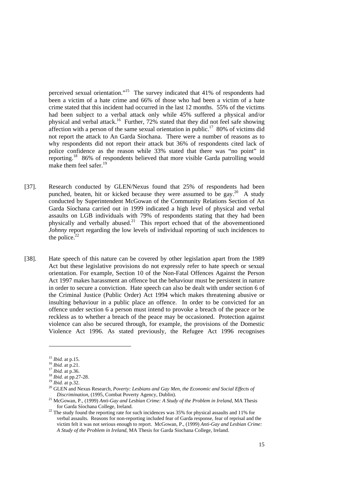perceived sexual orientation."15 The survey indicated that 41% of respondents had been a victim of a hate crime and 66% of those who had been a victim of a hate crime stated that this incident had occurred in the last 12 months. 55% of the victims had been subject to a verbal attack only while 45% suffered a physical and/or physical and verbal attack.16 Further, 72% stated that they did not feel safe showing affection with a person of the same sexual orientation in public.<sup>17</sup> 80% of victims did not report the attack to An Garda Siochana. There were a number of reasons as to why respondents did not report their attack but 36% of respondents cited lack of police confidence as the reason while 33% stated that there was "no point" in reporting.<sup>18</sup> 86% of respondents believed that more visible Garda patrolling would make them feel safer.<sup>19</sup>

- [37]. Research conducted by GLEN/Nexus found that 25% of respondents had been punched, beaten, hit or kicked because they were assumed to be  $\varrho$ ay.<sup>20</sup> A study conducted by Superintendent McGowan of the Community Relations Section of An Garda Síochana carried out in 1999 indicated a high level of physical and verbal assaults on LGB individuals with 79% of respondents stating that they had been physically and verbally abused.<sup>21</sup> This report echoed that of the abovementioned *Johnny* report regarding the low levels of individual reporting of such incidences to the police. $22$
- [38]. Hate speech of this nature can be covered by other legislation apart from the 1989 Act but these legislative provisions do not expressly refer to hate speech or sexual orientation. For example, Section 10 of the Non-Fatal Offences Against the Person Act 1997 makes harassment an offence but the behaviour must be persistent in nature in order to secure a conviction. Hate speech can also be dealt with under section 6 of the Criminal Justice (Public Order) Act 1994 which makes threatening abusive or insulting behaviour in a public place an offence. In order to be convicted for an offence under section 6 a person must intend to provoke a breach of the peace or be reckless as to whether a breach of the peace may be occasioned. Protection against violence can also be secured through, for example, the provisions of the Domestic Violence Act 1996. As stated previously, the Refugee Act 1996 recognises

-

<sup>&</sup>lt;sup>15</sup> *Ibid.* at p.15.<br><sup>16</sup> *Ibid.* at p.21.<br><sup>17</sup> *Ibid.* at p.36.<br><sup>18</sup> *Ibid.* at pp.27-28.<br><sup>19</sup> *Ibid.* at p.32.<br><sup>20</sup> GLEN and Nexus Research, *Poverty: Lesbians and Gay Men, the Economic and Social Effects of Discrimination*, (1995, Combat Poverty Agency, Dublin).<br><sup>21</sup> McGowan, P., (1999) *Anti-Gay and Lesbian Crime: A Study of the Problem in Ireland*, MA Thesis

for Garda Síochana College, Ireland. 22 The study found the reporting rate for such incidences was 35% for physical assaults and 11% for

verbal assaults. Reasons for non-reporting included fear of Garda response, fear of reprisal and the victim felt it was not serious enough to report. McGowan, P., (1999) *Anti-Gay and Lesbian Crime: A Study of the Problem in Ireland*, MA Thesis for Garda Siochana College, Ireland.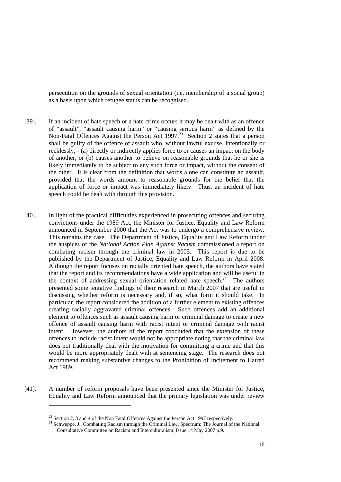persecution on the grounds of sexual orientation (i.e. membership of a social group) as a basis upon which refugee status can be recognised.

- [39]. If an incident of hate speech or a hate crime occurs it may be dealt with as an offence of "assault", "assault causing harm" or "causing serious harm" as defined by the Non-Fatal Offences Against the Person Act 1997.<sup>23</sup> Section 2 states that a person shall be guilty of the offence of assault who, without lawful excuse, intentionally or recklessly, - (a) directly or indirectly applies force to or causes an impact on the body of another, or (b) causes another to believe on reasonable grounds that he or she is likely immediately to be subject to any such force or impact, without the consent of the other. It is clear from the definition that words alone can constitute an assault, provided that the words amount to reasonable grounds for the belief that the application of force or impact was immediately likely. Thus, an incident of hate speech could be dealt with through this provision.
- [40]. In light of the practical difficulties experienced in prosecuting offences and securing convictions under the 1989 Act, the Minister for Justice, Equality and Law Reform announced in September 2000 that the Act was to undergo a comprehensive review. This remains the case. The Department of Justice, Equality and Law Reform under the auspices of the *National Action Plan Against Racism* commissioned a report on combating racism through the criminal law in 2005. This report is due to be published by the Department of Justice, Equality and Law Reform in April 2008. Although the report focuses on racially oriented hate speech, the authors have stated that the report and its recommendations have a wide application and will be useful in the context of addressing sexual orientation related hate speech.<sup>24</sup> The authors presented some tentative findings of their research in March 2007 that are useful in discussing whether reform is necessary and, if so, what form it should take. In particular, the report considered the addition of a further element to existing offences creating racially aggravated criminal offences. Such offences add an additional element to offences such as assault causing harm or criminal damage to create a new offence of assault causing harm with racist intent or criminal damage with racist intent. However, the authors of the report concluded that the extension of these offences to include racist intent would not be appropriate noting that the criminal law does not traditionally deal with the motivation for committing a crime and that this would be more appropriately dealt with at sentencing stage. The research does not recommend making substantive changes to the Prohibition of Incitement to Hatred Act 1989.
- [41]. A number of reform proposals have been presented since the Minister for Justice, Equality and Law Reform announced that the primary legislation was under review

<sup>&</sup>lt;sup>23</sup> Section 2, 3 and 4 of the Non Fatal Offences Against the Person Act 1997 respectively.<br><sup>24</sup> Schweppe, J., Combating Racism through the Criminal Law, Spectrum: The Journal of the National Consultative Committee on Racism and Interculturalism, Issue 14 May 2007 p.9.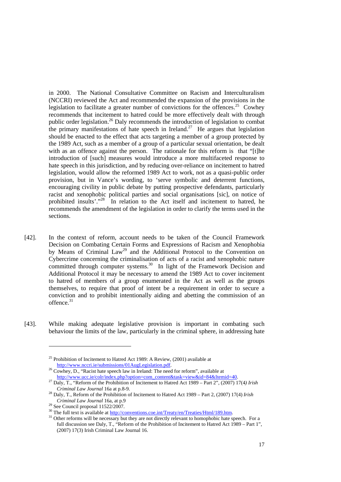in 2000. The National Consultative Committee on Racism and Interculturalism (NCCRI) reviewed the Act and recommended the expansion of the provisions in the legislation to facilitate a greater number of convictions for the offences.<sup>25</sup> Cowhey recommends that incitement to hatred could be more effectively dealt with through public order legislation.26 Daly recommends the introduction of legislation to combat the primary manifestations of hate speech in Ireland.<sup>27</sup> He argues that legislation should be enacted to the effect that acts targeting a member of a group protected by the 1989 Act, such as a member of a group of a particular sexual orientation, be dealt with as an offence against the person. The rationale for this reform is that "[t]he introduction of [such] measures would introduce a more multifaceted response to hate speech in this jurisdiction, and by reducing over-reliance on incitement to hatred legislation, would allow the reformed 1989 Act to work, not as a quasi-public order provision, but in Vance's wording, to 'serve symbolic and deterrent functions, encouraging civility in public debate by putting prospective defendants, particularly racist and xenophobic political parties and social organisations [sic], on notice of prohibited insults'."28 In relation to the Act itself and incitement to hatred, he recommends the amendment of the legislation in order to clarify the terms used in the sections.

- [42]. In the context of reform, account needs to be taken of the Council Framework Decision on Combating Certain Forms and Expressions of Racism and Xenophobia by Means of Criminal Law<sup>29</sup> and the Additional Protocol to the Convention on Cybercrime concerning the criminalisation of acts of a racist and xenophobic nature committed through computer systems.<sup>30</sup> In light of the Framework Decision and Additional Protocol it may be necessary to amend the 1989 Act to cover incitement to hatred of members of a group enumerated in the Act as well as the groups themselves, to require that proof of intent be a requirement in order to secure a conviction and to prohibit intentionally aiding and abetting the commission of an offence. $31$
- [43]. While making adequate legislative provision is important in combating such behaviour the limits of the law, particularly in the criminal sphere, in addressing hate

-

 $25$  Prohibition of Incitement to Hatred Act 1989: A Review, (2001) available at http://www.nccri.ie/submissions/01AugLegislation.pdf. 26 Cowhey, D., "Racist hate speech law in Ireland: The need for reform", available at

http://www.ucc.ie/colr/index.php?option=com\_content&task=view&id=84&Itemid=40. 27 Daly, T., "Reform of the Prohibition of Incitement to Hatred Act 1989 – Part 2", (2007) 17(4*) Irish* 

*Criminal Law Journal* 16a at p.8-9.<br><sup>28</sup> Daly, T., Reform of the Prohibition of Incitement to Hatred Act 1989 – Part 2, (2007) 17(4) *Irish Criminal Law Journal* 16a. at p.9

<sup>&</sup>lt;sup>29</sup> See Council proposal 11522/2007.<br><sup>30</sup> The full text is available at <u>http://conventions.coe.int/Treaty/en/Treaties/Html/189.htm</u>.

<sup>&</sup>lt;sup>31</sup> Other reforms will be necessary but they are not directly relevant to homophobic hate speech. For a full discussion see Daly, T., "Reform of the Prohibition of Incitement to Hatred Act 1989 – Part 1", (2007) 17(3) Irish Criminal Law Journal 16.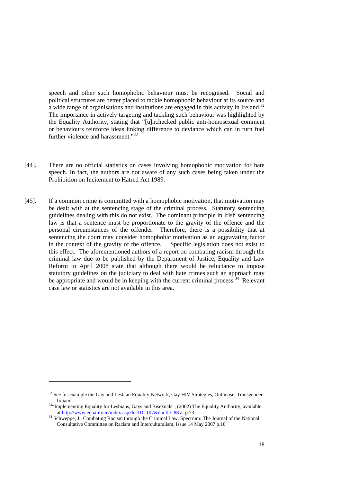speech and other such homophobic behaviour must be recognised. Social and political structures are better placed to tackle homophobic behaviour at its source and a wide range of organisations and institutions are engaged in this activity in Ireland.<sup>32</sup> The importance in actively targeting and tackling such behaviour was highlighted by the Equality Authority, stating that "[u]nchecked public anti-homosexual comment or behaviours reinforce ideas linking difference to deviance which can in turn fuel further violence and harassment."<sup>33</sup>

- [44]. There are no official statistics on cases involving homophobic motivation for hate speech. In fact, the authors are not aware of any such cases being taken under the Prohibition on Incitement to Hatred Act 1989.
- [45]. If a common crime is committed with a homophobic motivation, that motivation may be dealt with at the sentencing stage of the criminal process. Statutory sentencing guidelines dealing with this do not exist. The dominant principle in Irish sentencing law is that a sentence must be proportionate to the gravity of the offence and the personal circumstances of the offender. Therefore, there is a possibility that at sentencing the court may consider homophobic motivation as an aggravating factor in the context of the gravity of the offence. Specific legislation does not exist to this effect. The aforementioned authors of a report on combating racism through the criminal law due to be published by the Department of Justice, Equality and Law Reform in April 2008 state that although there would be reluctance to impose statutory guidelines on the judiciary to deal with hate crimes such an approach may be appropriate and would be in keeping with the current criminal process.  $34$  Relevant case law or statistics are not available in this area.

 $32$  See for example the Gay and Lesbian Equality Network, Gay HIV Strategies, Outhouse, Transgender<br>Ireiand

<sup>&</sup>lt;sup>33</sup>"Implementing Equality for Lesbians, Gays and Bisexuals", (2002) The Equality Authority, available at http://www.equality.ie/index.asp?locID=107&docID=88 at p.73.

<sup>&</sup>lt;sup>34</sup> Schweppe, J., Combating Racism through the Criminal Law, Spectrum: The Journal of the National Consultative Committee on Racism and Interculturalism, Issue 14 May 2007 p.10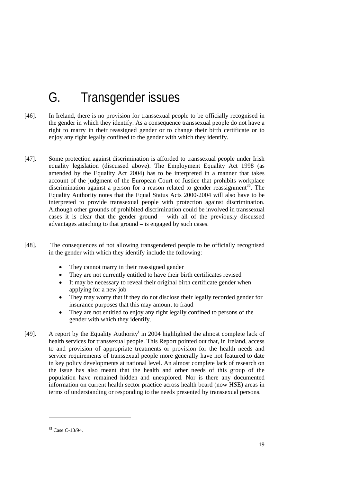# G. Transgender issues

- [46]. In Ireland, there is no provision for transsexual people to be officially recognised in the gender in which they identify. As a consequence transsexual people do not have a right to marry in their reassigned gender or to change their birth certificate or to enjoy any right legally confined to the gender with which they identify.
- [47]. Some protection against discrimination is afforded to transsexual people under Irish equality legislation (discussed above). The Employment Equality Act 1998 (as amended by the Equality Act 2004) has to be interpreted in a manner that takes account of the judgment of the European Court of Justice that prohibits workplace discrimination against a person for a reason related to gender reassignment<sup>35</sup>. The Equality Authority notes that the Equal Status Acts 2000-2004 will also have to be interpreted to provide transsexual people with protection against discrimination. Although other grounds of prohibited discrimination could be involved in transsexual cases it is clear that the gender ground – with all of the previously discussed advantages attaching to that ground – is engaged by such cases.
- [48]. The consequences of not allowing transgendered people to be officially recognised in the gender with which they identify include the following:
	- They cannot marry in their reassigned gender
	- They are not currently entitled to have their birth certificates revised
	- It may be necessary to reveal their original birth certificate gender when applying for a new job
	- They may worry that if they do not disclose their legally recorded gender for insurance purposes that this may amount to fraud
	- They are not entitled to enjoy any right legally confined to persons of the gender with which they identify.
- [49]. A report by the Equality Authority<sup>i</sup> in 2004 highlighted the almost complete lack of health services for transsexual people. This Report pointed out that, in Ireland, access to and provision of appropriate treatments or provision for the health needs and service requirements of transsexual people more generally have not featured to date in key policy developments at national level. An almost complete lack of research on the issue has also meant that the health and other needs of this group of the population have remained hidden and unexplored. Nor is there any documented information on current health sector practice across health board (now HSE) areas in terms of understanding or responding to the needs presented by transsexual persons.

<sup>35</sup> Case C-13/94.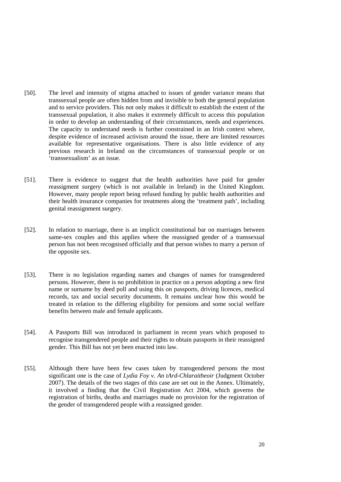- [50]. The level and intensity of stigma attached to issues of gender variance means that transsexual people are often hidden from and invisible to both the general population and to service providers. This not only makes it difficult to establish the extent of the transsexual population, it also makes it extremely difficult to access this population in order to develop an understanding of their circumstances, needs and experiences. The capacity to understand needs is further constrained in an Irish context where, despite evidence of increased activism around the issue, there are limited resources available for representative organisations. There is also little evidence of any previous research in Ireland on the circumstances of transsexual people or on 'transsexualism' as an issue.
- [51]. There is evidence to suggest that the health authorities have paid for gender reassigment surgery (which is not available in Ireland) in the United Kingdom. However, many people report being refused funding by public health authorities and their health insurance companies for treatments along the 'treatment path', including genital reassignment surgery.
- [52]. In relation to marriage, there is an implicit constitutional bar on marriages between same-sex couples and this applies where the reassigned gender of a transsexual person has not been recognised officially and that person wishes to marry a person of the opposite sex.
- [53]. There is no legislation regarding names and changes of names for transgendered persons. However, there is no prohibition in practice on a person adopting a new first name or surname by deed poll and using this on passports, driving licences, medical records, tax and social security documents. It remains unclear how this would be treated in relation to the differing eligibility for pensions and some social welfare benefits between male and female applicants.
- [54]. A Passports Bill was introduced in parliament in recent years which proposed to recognise transgendered people and their rights to obtain passports in their reassigned gender. This Bill has not yet been enacted into law.
- [55]. Although there have been few cases taken by transgendered persons the most significant one is the case of *Lydia Foy v. An tArd-Chlaraitheoir* (Judgment October 2007). The details of the two stages of this case are set out in the Annex. Ultimately, it involved a finding that the Civil Registration Act 2004, which governs the registration of births, deaths and marriages made no provision for the registration of the gender of transgendered people with a reassigned gender.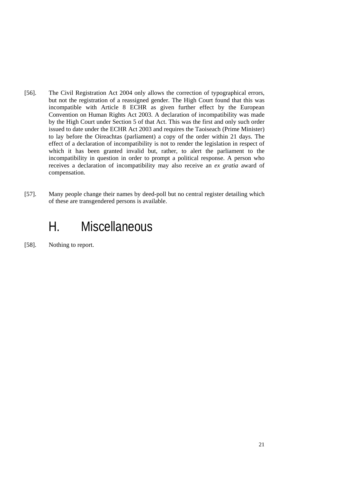- [56]. The Civil Registration Act 2004 only allows the correction of typographical errors, but not the registration of a reassigned gender. The High Court found that this was incompatible with Article 8 ECHR as given further effect by the European Convention on Human Rights Act 2003. A declaration of incompatibility was made by the High Court under Section 5 of that Act. This was the first and only such order issued to date under the ECHR Act 2003 and requires the Taoiseach (Prime Minister) to lay before the Oireachtas (parliament) a copy of the order within 21 days. The effect of a declaration of incompatibility is not to render the legislation in respect of which it has been granted invalid but, rather, to alert the parliament to the incompatibility in question in order to prompt a political response. A person who receives a declaration of incompatibility may also receive an *ex gratia* award of compensation.
- [57]. Many people change their names by deed-poll but no central register detailing which of these are transgendered persons is available.

## H. Miscellaneous

[58]. Nothing to report.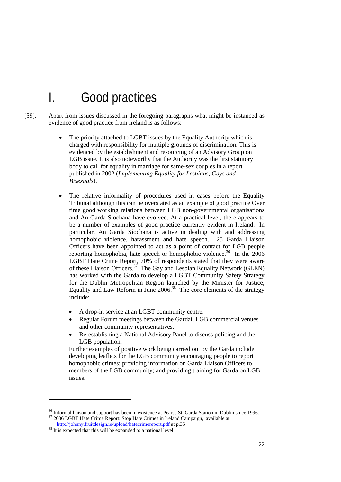## I. Good practices

- [59]. Apart from issues discussed in the foregoing paragraphs what might be instanced as evidence of good practice from Ireland is as follows:
	- The priority attached to LGBT issues by the Equality Authority which is charged with responsibility for multiple grounds of discrimination. This is evidenced by the establishment and resourcing of an Advisory Group on LGB issue. It is also noteworthy that the Authority was the first statutory body to call for equality in marriage for same-sex couples in a report published in 2002 (*Implementing Equality for Lesbians, Gays and Bisexuals*).
	- The relative informality of procedures used in cases before the Equality Tribunal although this can be overstated as an example of good practice Over time good working relations between LGB non-governmental organisations and An Garda Siochana have evolved. At a practical level, there appears to be a number of examples of good practice currently evident in Ireland. In particular, An Garda Síochana is active in dealing with and addressing homophobic violence, harassment and hate speech. 25 Garda Liaison Officers have been appointed to act as a point of contact for LGB people reporting homophobia, hate speech or homophobic violence.<sup>36</sup> In the 2006 LGBT Hate Crime Report, 70% of respondents stated that they were aware of these Liaison Officers.<sup>37</sup> The Gay and Lesbian Equality Network (GLEN) has worked with the Garda to develop a LGBT Community Safety Strategy for the Dublin Metropolitan Region launched by the Minister for Justice, Equality and Law Reform in June  $2006$ .<sup>38</sup> The core elements of the strategy include:
		- A drop-in service at an LGBT community centre.
		- Regular Forum meetings between the Gardaí, LGB commercial venues and other community representatives.
		- Re-establishing a National Advisory Panel to discuss policing and the LGB population.

Further examples of positive work being carried out by the Garda include developing leaflets for the LGB community encouraging people to report homophobic crimes; providing information on Garda Liaison Officers to members of the LGB community; and providing training for Garda on LGB issues.

<sup>&</sup>lt;sup>36</sup> Informal liaison and support has been in existence at Pearse St. Garda Station in Dublin since 1996.<br><sup>37</sup> 2006 LGBT Hate Crime Report: Stop Hate Crimes in Ireland Campaign, available at  $\frac{http://johny.fruitdesign.io/upload/haterimereport.pdf}{http://johny.fruit$ 

 $18$  It is expected that this will be expanded to a national level.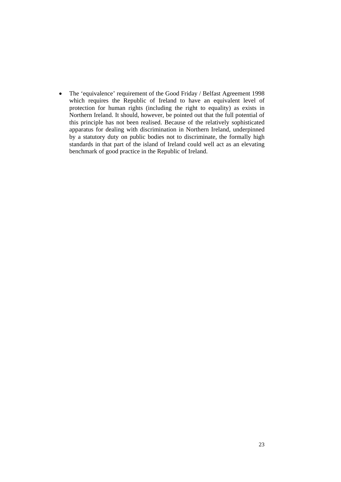• The 'equivalence' requirement of the Good Friday / Belfast Agreement 1998 which requires the Republic of Ireland to have an equivalent level of protection for human rights (including the right to equality) as exists in Northern Ireland. It should, however, be pointed out that the full potential of this principle has not been realised. Because of the relatively sophisticated apparatus for dealing with discrimination in Northern Ireland, underpinned by a statutory duty on public bodies not to discriminate, the formally high standards in that part of the island of Ireland could well act as an elevating benchmark of good practice in the Republic of Ireland.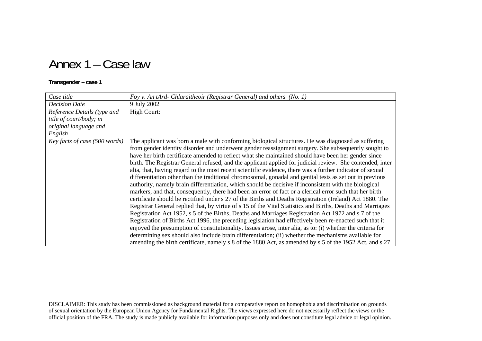## Annex 1 – Case law

#### **Transgender – case 1**

| Case title                    | Foy v. An tArd- Chlaraitheoir (Registrar General) and others (No. 1)                                                                                                                                                                                                                                                                                                                                                                                                                                                                                                                                                                                                                                                                                                                                                                                                                                                                                                                                                                                                                                                                                                                                                                                                                                                                                                                                                                                                                                                                                                                                                                                      |
|-------------------------------|-----------------------------------------------------------------------------------------------------------------------------------------------------------------------------------------------------------------------------------------------------------------------------------------------------------------------------------------------------------------------------------------------------------------------------------------------------------------------------------------------------------------------------------------------------------------------------------------------------------------------------------------------------------------------------------------------------------------------------------------------------------------------------------------------------------------------------------------------------------------------------------------------------------------------------------------------------------------------------------------------------------------------------------------------------------------------------------------------------------------------------------------------------------------------------------------------------------------------------------------------------------------------------------------------------------------------------------------------------------------------------------------------------------------------------------------------------------------------------------------------------------------------------------------------------------------------------------------------------------------------------------------------------------|
| <b>Decision Date</b>          | 9 July 2002                                                                                                                                                                                                                                                                                                                                                                                                                                                                                                                                                                                                                                                                                                                                                                                                                                                                                                                                                                                                                                                                                                                                                                                                                                                                                                                                                                                                                                                                                                                                                                                                                                               |
| Reference Details (type and   | <b>High Court:</b>                                                                                                                                                                                                                                                                                                                                                                                                                                                                                                                                                                                                                                                                                                                                                                                                                                                                                                                                                                                                                                                                                                                                                                                                                                                                                                                                                                                                                                                                                                                                                                                                                                        |
| title of court/body; in       |                                                                                                                                                                                                                                                                                                                                                                                                                                                                                                                                                                                                                                                                                                                                                                                                                                                                                                                                                                                                                                                                                                                                                                                                                                                                                                                                                                                                                                                                                                                                                                                                                                                           |
| original language and         |                                                                                                                                                                                                                                                                                                                                                                                                                                                                                                                                                                                                                                                                                                                                                                                                                                                                                                                                                                                                                                                                                                                                                                                                                                                                                                                                                                                                                                                                                                                                                                                                                                                           |
| English                       |                                                                                                                                                                                                                                                                                                                                                                                                                                                                                                                                                                                                                                                                                                                                                                                                                                                                                                                                                                                                                                                                                                                                                                                                                                                                                                                                                                                                                                                                                                                                                                                                                                                           |
| Key facts of case (500 words) | The applicant was born a male with conforming biological structures. He was diagnosed as suffering<br>from gender identity disorder and underwent gender reassignment surgery. She subsequently sought to<br>have her birth certificate amended to reflect what she maintained should have been her gender since<br>birth. The Registrar General refused, and the applicant applied for judicial review. She contended, inter<br>alia, that, having regard to the most recent scientific evidence, there was a further indicator of sexual<br>differentiation other than the traditional chromosomal, gonadal and genital tests as set out in previous<br>authority, namely brain differentiation, which should be decisive if inconsistent with the biological<br>markers, and that, consequently, there had been an error of fact or a clerical error such that her birth<br>certificate should be rectified under s 27 of the Births and Deaths Registration (Ireland) Act 1880. The<br>Registrar General replied that, by virtue of s 15 of the Vital Statistics and Births, Deaths and Marriages<br>Registration Act 1952, s 5 of the Births, Deaths and Marriages Registration Act 1972 and s 7 of the<br>Registration of Births Act 1996, the preceding legislation had effectively been re-enacted such that it<br>enjoyed the presumption of constitutionality. Issues arose, inter alia, as to: (i) whether the criteria for<br>determining sex should also include brain differentiation; (ii) whether the mechanisms available for<br>amending the birth certificate, namely s 8 of the 1880 Act, as amended by s 5 of the 1952 Act, and s 27 |

DISCLAIMER: This study has been commissioned as background material for a comparative report on homophobia and discrimination on grounds of sexual orientation by the European Union Agency for Fundamental Rights. The views expressed here do not necessarily reflect the views or the official position of the FRA. The study is made publicly available for information purposes only and does not constitute legal advice or legal opinion.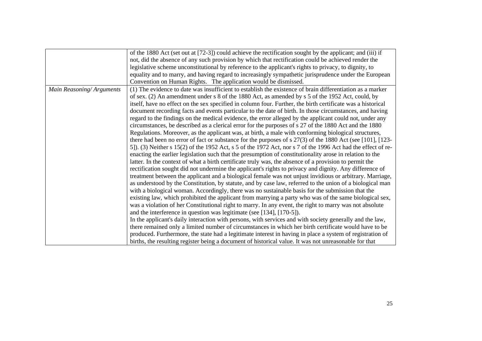| of the 1880 Act (set out at [72-3]) could achieve the rectification sought by the applicant; and (iii) if                             |
|---------------------------------------------------------------------------------------------------------------------------------------|
|                                                                                                                                       |
| not, did the absence of any such provision by which that rectification could be achieved render the                                   |
| legislative scheme unconstitutional by reference to the applicant's rights to privacy, to dignity, to                                 |
| equality and to marry, and having regard to increasingly sympathetic jurisprudence under the European                                 |
| Convention on Human Rights. The application would be dismissed.                                                                       |
| (1) The evidence to date was insufficient to establish the existence of brain differentiation as a marker<br>Main Reasoning/Arguments |
| of sex. (2) An amendment under s 8 of the 1880 Act, as amended by s 5 of the 1952 Act, could, by                                      |
| itself, have no effect on the sex specified in column four. Further, the birth certificate was a historical                           |
| document recording facts and events particular to the date of birth. In those circumstances, and having                               |
| regard to the findings on the medical evidence, the error alleged by the applicant could not, under any                               |
| circumstances, be described as a clerical error for the purposes of s 27 of the 1880 Act and the 1880                                 |
| Regulations. Moreover, as the applicant was, at birth, a male with conforming biological structures,                                  |
| there had been no error of fact or substance for the purposes of s $27(3)$ of the 1880 Act (see [101], [123-                          |
| 5]). (3) Neither s 15(2) of the 1952 Act, s 5 of the 1972 Act, nor s 7 of the 1996 Act had the effect of re-                          |
| enacting the earlier legislation such that the presumption of constitutionality arose in relation to the                              |
| latter. In the context of what a birth certificate truly was, the absence of a provision to permit the                                |
| rectification sought did not undermine the applicant's rights to privacy and dignity. Any difference of                               |
| treatment between the applicant and a biological female was not unjust invidious or arbitrary. Marriage,                              |
| as understood by the Constitution, by statute, and by case law, referred to the union of a biological man                             |
| with a biological woman. Accordingly, there was no sustainable basis for the submission that the                                      |
| existing law, which prohibited the applicant from marrying a party who was of the same biological sex,                                |
| was a violation of her Constitutional right to marry. In any event, the right to marry was not absolute                               |
| and the interference in question was legitimate (see [134], [170-5]).                                                                 |
| In the applicant's daily interaction with persons, with services and with society generally and the law,                              |
| there remained only a limited number of circumstances in which her birth certificate would have to be                                 |
| produced. Furthermore, the state had a legitimate interest in having in place a system of registration of                             |
| births, the resulting register being a document of historical value. It was not unreasonable for that                                 |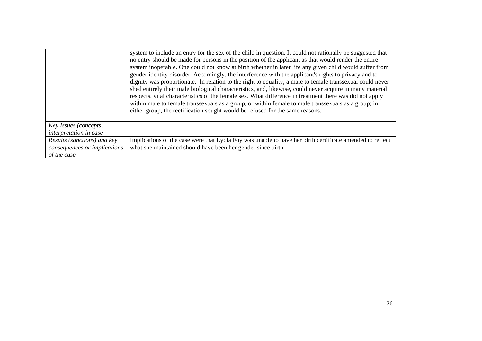|                                                                            | system to include an entry for the sex of the child in question. It could not rationally be suggested that<br>no entry should be made for persons in the position of the applicant as that would render the entire<br>system inoperable. One could not know at birth whether in later life any given child would suffer from<br>gender identity disorder. Accordingly, the interference with the applicant's rights to privacy and to<br>dignity was proportionate. In relation to the right to equality, a male to female transsexual could never<br>shed entirely their male biological characteristics, and, likewise, could never acquire in many material<br>respects, vital characteristics of the female sex. What difference in treatment there was did not apply<br>within male to female transsexuals as a group, or within female to male transsexuals as a group; in<br>either group, the rectification sought would be refused for the same reasons. |
|----------------------------------------------------------------------------|-------------------------------------------------------------------------------------------------------------------------------------------------------------------------------------------------------------------------------------------------------------------------------------------------------------------------------------------------------------------------------------------------------------------------------------------------------------------------------------------------------------------------------------------------------------------------------------------------------------------------------------------------------------------------------------------------------------------------------------------------------------------------------------------------------------------------------------------------------------------------------------------------------------------------------------------------------------------|
| Key Issues (concepts,<br>interpretation in case                            |                                                                                                                                                                                                                                                                                                                                                                                                                                                                                                                                                                                                                                                                                                                                                                                                                                                                                                                                                                   |
| Results (sanctions) and key<br>consequences or implications<br>of the case | Implications of the case were that Lydia Foy was unable to have her birth certificate amended to reflect<br>what she maintained should have been her gender since birth.                                                                                                                                                                                                                                                                                                                                                                                                                                                                                                                                                                                                                                                                                                                                                                                          |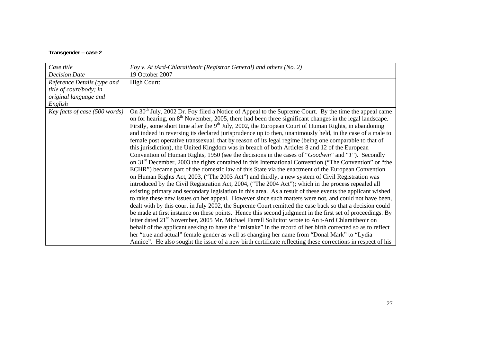#### **Transgender – case 2**

| Case title                    | Foy v. At tArd-Chlaraitheoir (Registrar General) and others (No. 2)                                                                                                                                                                                                                                                                                                                                                                                                                                                                                                                                                                                                                                                                                                                                                                                                                                                                                                                                                                                                                                                                                                                                                                                                                                                                                                                                                                                                                                                                                                                                                                                                                                                                                                                                                                                                                                                                                                                                                                                                                                        |
|-------------------------------|------------------------------------------------------------------------------------------------------------------------------------------------------------------------------------------------------------------------------------------------------------------------------------------------------------------------------------------------------------------------------------------------------------------------------------------------------------------------------------------------------------------------------------------------------------------------------------------------------------------------------------------------------------------------------------------------------------------------------------------------------------------------------------------------------------------------------------------------------------------------------------------------------------------------------------------------------------------------------------------------------------------------------------------------------------------------------------------------------------------------------------------------------------------------------------------------------------------------------------------------------------------------------------------------------------------------------------------------------------------------------------------------------------------------------------------------------------------------------------------------------------------------------------------------------------------------------------------------------------------------------------------------------------------------------------------------------------------------------------------------------------------------------------------------------------------------------------------------------------------------------------------------------------------------------------------------------------------------------------------------------------------------------------------------------------------------------------------------------------|
| <b>Decision Date</b>          | 19 October 2007                                                                                                                                                                                                                                                                                                                                                                                                                                                                                                                                                                                                                                                                                                                                                                                                                                                                                                                                                                                                                                                                                                                                                                                                                                                                                                                                                                                                                                                                                                                                                                                                                                                                                                                                                                                                                                                                                                                                                                                                                                                                                            |
| Reference Details (type and   | <b>High Court:</b>                                                                                                                                                                                                                                                                                                                                                                                                                                                                                                                                                                                                                                                                                                                                                                                                                                                                                                                                                                                                                                                                                                                                                                                                                                                                                                                                                                                                                                                                                                                                                                                                                                                                                                                                                                                                                                                                                                                                                                                                                                                                                         |
| title of court/body; in       |                                                                                                                                                                                                                                                                                                                                                                                                                                                                                                                                                                                                                                                                                                                                                                                                                                                                                                                                                                                                                                                                                                                                                                                                                                                                                                                                                                                                                                                                                                                                                                                                                                                                                                                                                                                                                                                                                                                                                                                                                                                                                                            |
| original language and         |                                                                                                                                                                                                                                                                                                                                                                                                                                                                                                                                                                                                                                                                                                                                                                                                                                                                                                                                                                                                                                                                                                                                                                                                                                                                                                                                                                                                                                                                                                                                                                                                                                                                                                                                                                                                                                                                                                                                                                                                                                                                                                            |
| English                       |                                                                                                                                                                                                                                                                                                                                                                                                                                                                                                                                                                                                                                                                                                                                                                                                                                                                                                                                                                                                                                                                                                                                                                                                                                                                                                                                                                                                                                                                                                                                                                                                                                                                                                                                                                                                                                                                                                                                                                                                                                                                                                            |
| Key facts of case (500 words) | On 30 <sup>th</sup> July, 2002 Dr. Foy filed a Notice of Appeal to the Supreme Court. By the time the appeal came<br>on for hearing, on $8th$ November, 2005, there had been three significant changes in the legal landscape.<br>Firstly, some short time after the $9th$ July, 2002, the European Court of Human Rights, in abandoning<br>and indeed in reversing its declared jurisprudence up to then, unanimously held, in the case of a male to<br>female post operative transsexual, that by reason of its legal regime (being one comparable to that of<br>this jurisdiction), the United Kingdom was in breach of both Articles 8 and 12 of the European<br>Convention of Human Rights, 1950 (see the decisions in the cases of "Goodwin" and "I"). Secondly<br>on 31 <sup>st</sup> December, 2003 the rights contained in this International Convention ("The Convention" or "the<br>ECHR") became part of the domestic law of this State via the enactment of the European Convention<br>on Human Rights Act, 2003, ("The 2003 Act") and thirdly, a new system of Civil Registration was<br>introduced by the Civil Registration Act, 2004, ("The 2004 Act"); which in the process repealed all<br>existing primary and secondary legislation in this area. As a result of these events the applicant wished<br>to raise these new issues on her appeal. However since such matters were not, and could not have been,<br>dealt with by this court in July 2002, the Supreme Court remitted the case back so that a decision could<br>be made at first instance on these points. Hence this second judgment in the first set of proceedings. By<br>letter dated 21 <sup>st</sup> November, 2005 Mr. Michael Farrell Solicitor wrote to An t-Ard Chlaraitheoir on<br>behalf of the applicant seeking to have the "mistake" in the record of her birth corrected so as to reflect<br>her "true and actual" female gender as well as changing her name from "Donal Mark" to "Lydia"<br>Annice". He also sought the issue of a new birth certificate reflecting these corrections in respect of his |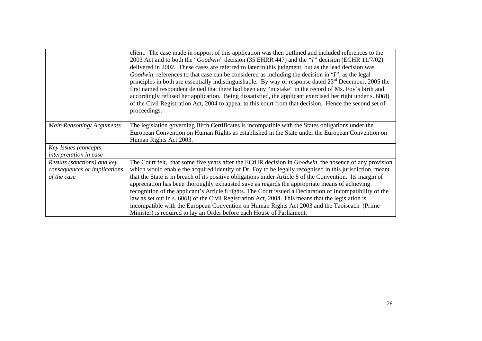|                                                                            | client. The case made in support of this application was then outlined and included references to the<br>2003 Act and to both the "Goodwin" decision (35 EHRR 447) and the "I" decision (ECHR 11/7/02)<br>delivered in 2002. These cases are referred to later in this judgment, but as the lead decision was<br>Goodwin, references to that case can be considered as including the decision in "I", as the legal<br>principles in both are essentially indistinguishable. By way of response dated $23rd$ December, 2005 the<br>first named respondent denied that there had been any "mistake" in the record of Ms. Foy's birth and<br>accordingly refused her application. Being dissatisfied, the applicant exercised her right under $s. 60(8)$<br>of the Civil Registration Act, 2004 to appeal to this court from that decision. Hence the second set of<br>proceedings. |
|----------------------------------------------------------------------------|----------------------------------------------------------------------------------------------------------------------------------------------------------------------------------------------------------------------------------------------------------------------------------------------------------------------------------------------------------------------------------------------------------------------------------------------------------------------------------------------------------------------------------------------------------------------------------------------------------------------------------------------------------------------------------------------------------------------------------------------------------------------------------------------------------------------------------------------------------------------------------|
| Main Reasoning/Arguments                                                   | The legislation governing Birth Certificates is incompatible with the States obligations under the<br>European Convention on Human Rights as established in the State under the European Convention on<br>Human Rights Act 2003.                                                                                                                                                                                                                                                                                                                                                                                                                                                                                                                                                                                                                                                 |
| Key Issues (concepts,<br>interpretation in case                            |                                                                                                                                                                                                                                                                                                                                                                                                                                                                                                                                                                                                                                                                                                                                                                                                                                                                                  |
| Results (sanctions) and key<br>consequences or implications<br>of the case | The Court felt, that some five years after the ECtHR decision in <i>Goodwin</i> , the absence of any provision<br>which would enable the acquired identity of Dr. Foy to be legally recognised in this jurisdiction, meant<br>that the State is in breach of its positive obligations under Article 8 of the Convention. Its margin of<br>appreciation has been thoroughly exhausted save as regards the appropriate means of achieving<br>recognition of the applicant's Article 8 rights. The Court issued a Declaration of Incompatibility of the<br>law as set out in s. $60(8)$ of the Civil Registration Act, 2004. This means that the legislation is<br>incompatible with the European Convention on Human Rights Act 2003 and the Taoiseach (Prime<br>Minister) is required to lay an Order before each House of Parliament.                                            |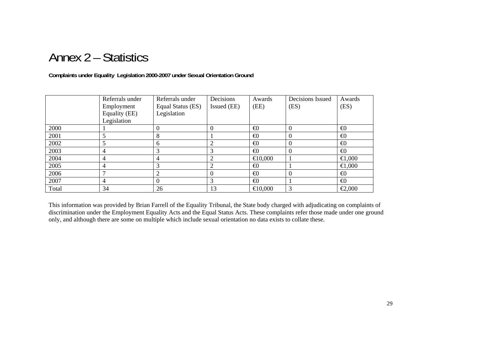### Annex 2 – Statistics

#### **Complaints under Equality Legislation 2000-2007 under Sexual Orientation Ground**

|       | Referrals under | Referrals under   | Decisions   | Awards            | Decisions Issued | Awards             |
|-------|-----------------|-------------------|-------------|-------------------|------------------|--------------------|
|       | Employment      | Equal Status (ES) | Issued (EE) | (EE)              | (ES)             | (ES)               |
|       | Equality (EE)   | Legislation       |             |                   |                  |                    |
|       | Legislation     |                   |             |                   |                  |                    |
| 2000  |                 | 0                 | 0           | $\bigoplus$       | $\theta$         | $\bigoplus$        |
| 2001  |                 | 8                 |             | $\bigoplus$       | $\theta$         | $\bigoplus$        |
| 2002  |                 | 6                 | 2           | $\bigoplus$       | $\theta$         | $\bigoplus$        |
| 2003  | 4               |                   | 3           | $\bigoplus$       | $\theta$         | $\bigoplus$        |
| 2004  | 4               | 4                 | 2           | $\bigoplus$ 0,000 |                  | $000$ , $\boxplus$ |
| 2005  | 4               | 3                 | 2           | $\bigoplus$       |                  | $\Theta$ ,000      |
| 2006  | −               | 2                 | 0           | $\bigoplus$       | $\Omega$         | $\bigoplus$        |
| 2007  | 4               | $_{0}$            | 3           | $\bigoplus$       |                  | $\bigoplus$        |
| Total | 34              | 26                | 13          | $\bigoplus$ 0,000 | 3                | $\epsilon$ 2,000   |

This information was provided by Brian Farrell of the Equality Tribunal, the State body charged with adjudicating on complaints of discrimination under the Employment Equality Acts and the Equal Status Acts. These complaints refer those made under one ground only, and although there are some on multiple which include sexual orientation no data exists to collate these.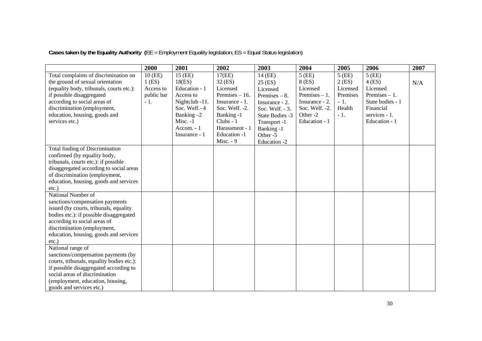**Cases taken by the Equality Authority (**EE = Employment Equality legislation; ES = Equal Status legislation)

|                                           | 2000       | 2001           | 2002             | 2003            | 2004            | 2005     | 2006             | 2007 |
|-------------------------------------------|------------|----------------|------------------|-----------------|-----------------|----------|------------------|------|
| Total complaints of discrimination on     | 10 (EE)    | 15 (EE)        | 17(EE)           | 14 (EE)         | $5$ (EE)        | $5$ (EE) | $5$ (EE)         |      |
| the ground of sexual orientation          | $1$ (ES)   | 18(ES)         | 32 (ES)          | 25 (ES)         | 8 (ES)          | $2$ (ES) | $4$ (ES)         | N/A  |
| (equality body, tribunals, courts etc.):  | Access to  | Education - 1  | Licensed         | Licensed        | Licensed        | Licensed | Licensed         |      |
| if possible disaggregated                 | public bar | Access to      | Premises $-16$ . | Premises $-8$ . | Premises $-1$ . | Premises | Premises $-1$ .  |      |
| according to social areas of              | $-1.$      | Nightclub -11. | Insurance - 1.   | Insurance - 2.  | Insurance - 2.  | $-1.$    | State bodies - 1 |      |
| discrimination (employment,               |            | Soc. Welf.-4   | Soc. Welf. -2.   | Soc. Welf. - 3. | Soc. Welf. -2.  | Health   | Financial        |      |
| education, housing, goods and             |            | Banking $-2$   | Banking -1       | State Bodies -3 | Other-2         | $-1.$    | services - 1.    |      |
| services etc.)                            |            | Misc. -1       | Clubs - 1        | Transport -1    | Education - 1   |          | Education - 1    |      |
|                                           |            | Accom. - 1     | Harassment - 1   | Banking -1      |                 |          |                  |      |
|                                           |            | Insurance - 1  | Education -1     | Other -5        |                 |          |                  |      |
|                                           |            |                | Misc. - 9        | Education -2    |                 |          |                  |      |
| Total finding of Discrimination           |            |                |                  |                 |                 |          |                  |      |
| confirmed (by equality body,              |            |                |                  |                 |                 |          |                  |      |
| tribunals, courts etc.): if possible      |            |                |                  |                 |                 |          |                  |      |
| disaggregated according to social areas   |            |                |                  |                 |                 |          |                  |      |
| of discrimination (employment,            |            |                |                  |                 |                 |          |                  |      |
| education, housing, goods and services    |            |                |                  |                 |                 |          |                  |      |
| $etc.$ )                                  |            |                |                  |                 |                 |          |                  |      |
| National Number of                        |            |                |                  |                 |                 |          |                  |      |
| sanctions/compensation payments           |            |                |                  |                 |                 |          |                  |      |
| issued (by courts, tribunals, equality    |            |                |                  |                 |                 |          |                  |      |
| bodies etc.): if possible disaggregated   |            |                |                  |                 |                 |          |                  |      |
| according to social areas of              |            |                |                  |                 |                 |          |                  |      |
| discrimination (employment,               |            |                |                  |                 |                 |          |                  |      |
| education, housing, goods and services    |            |                |                  |                 |                 |          |                  |      |
| $etc.$ )                                  |            |                |                  |                 |                 |          |                  |      |
| National range of                         |            |                |                  |                 |                 |          |                  |      |
| sanctions/compensation payments (by       |            |                |                  |                 |                 |          |                  |      |
| courts, tribunals, equality bodies etc.): |            |                |                  |                 |                 |          |                  |      |
| if possible disaggregated according to    |            |                |                  |                 |                 |          |                  |      |
| social areas of discrimination            |            |                |                  |                 |                 |          |                  |      |
| (employment, education, housing,          |            |                |                  |                 |                 |          |                  |      |
| goods and services etc.)                  |            |                |                  |                 |                 |          |                  |      |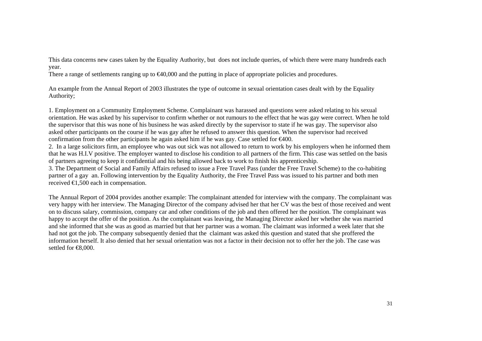This data concerns new cases taken by the Equality Authority, but does not include queries, of which there were many hundreds each year.

There a range of settlements ranging up to  $\epsilon 40,000$  and the putting in place of appropriate policies and procedures.

An example from the Annual Report of 2003 illustrates the type of outcome in sexual orientation cases dealt with by the Equality Authority;

1. Employment on a Community Employment Scheme. Complainant was harassed and questions were asked relating to his sexual orientation. He was asked by his supervisor to confirm whether or not rumours to the effect that he was gay were correct. When he told the supervisor that this was none of his business he was asked directly by the supervisor to state if he was gay. The supervisor also asked other participants on the course if he was gay after he refused to answer this question. When the supervisor had received confirmation from the other participants he again asked him if he was gay. Case settled for  $\epsilon 400$ .

2. In a large solicitors firm, an employee who was out sick was not allowed to return to work by his employers when he informed them that he was H.I.V positive. The employer wanted to disclose his condition to all partners of the firm. This case was settled on the basis of partners agreeing to keep it confidential and his being allowed back to work to finish his apprenticeship.

3. The Department of Social and Family Affairs refused to issue a Free Travel Pass (under the Free Travel Scheme) to the co-habiting partner of a gay an. Following intervention by the Equality Authority, the Free Travel Pass was issued to his partner and both men received €1,500 each in compensation.

The Annual Report of 2004 provides another example: The complainant attended for interview with the company. The complainant was very happy with her interview. The Managing Director of the company advised her that her CV was the best of those received and went on to discuss salary, commission, company car and other conditions of the job and then offered her the position. The complainant was happy to accept the offer of the position. As the complainant was leaving, the Managing Director asked her whether she was married and she informed that she was as good as married but that her partner was a woman. The claimant was informed a week later that she had not got the job. The company subsequently denied that the claimant was asked this question and stated that she proffered the information herself. It also denied that her sexual orientation was not a factor in their decision not to offer her the job. The case was settled for <del>€</del>8,000.